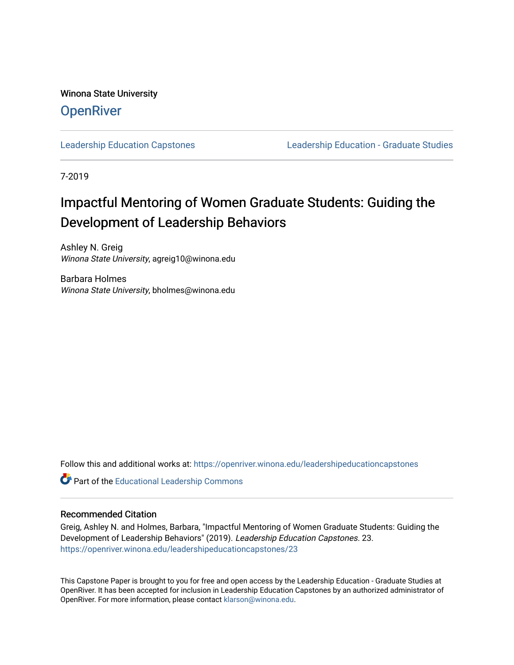Winona State University **OpenRiver** 

[Leadership Education Capstones](https://openriver.winona.edu/leadershipeducationcapstones) [Leadership Education - Graduate Studies](https://openriver.winona.edu/leadershipeducation) 

7-2019

# Impactful Mentoring of Women Graduate Students: Guiding the Development of Leadership Behaviors

Ashley N. Greig Winona State University, agreig10@winona.edu

Barbara Holmes Winona State University, bholmes@winona.edu

Follow this and additional works at: [https://openriver.winona.edu/leadershipeducationcapstones](https://openriver.winona.edu/leadershipeducationcapstones?utm_source=openriver.winona.edu%2Fleadershipeducationcapstones%2F23&utm_medium=PDF&utm_campaign=PDFCoverPages) 

Part of the [Educational Leadership Commons](http://network.bepress.com/hgg/discipline/1230?utm_source=openriver.winona.edu%2Fleadershipeducationcapstones%2F23&utm_medium=PDF&utm_campaign=PDFCoverPages) 

### Recommended Citation

Greig, Ashley N. and Holmes, Barbara, "Impactful Mentoring of Women Graduate Students: Guiding the Development of Leadership Behaviors" (2019). Leadership Education Capstones. 23. [https://openriver.winona.edu/leadershipeducationcapstones/23](https://openriver.winona.edu/leadershipeducationcapstones/23?utm_source=openriver.winona.edu%2Fleadershipeducationcapstones%2F23&utm_medium=PDF&utm_campaign=PDFCoverPages) 

This Capstone Paper is brought to you for free and open access by the Leadership Education - Graduate Studies at OpenRiver. It has been accepted for inclusion in Leadership Education Capstones by an authorized administrator of OpenRiver. For more information, please contact [klarson@winona.edu](mailto:klarson@winona.edu).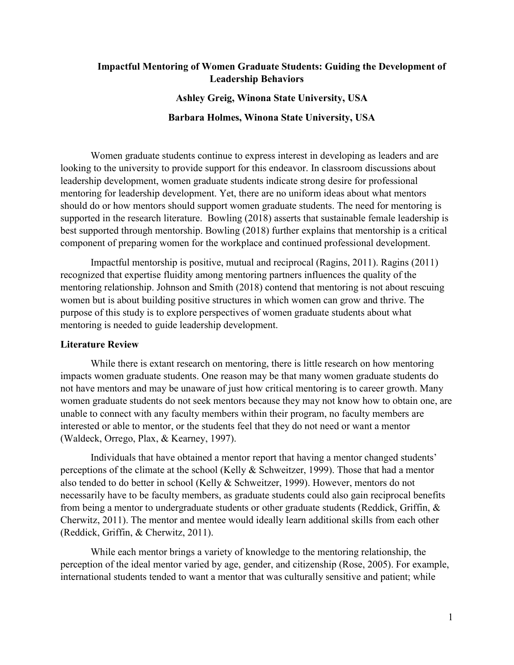### Impactful Mentoring of Women Graduate Students: Guiding the Development of Leadership Behaviors

### Ashley Greig, Winona State University, USA

### Barbara Holmes, Winona State University, USA

Women graduate students continue to express interest in developing as leaders and are looking to the university to provide support for this endeavor. In classroom discussions about leadership development, women graduate students indicate strong desire for professional mentoring for leadership development. Yet, there are no uniform ideas about what mentors should do or how mentors should support women graduate students. The need for mentoring is supported in the research literature. Bowling (2018) asserts that sustainable female leadership is best supported through mentorship. Bowling (2018) further explains that mentorship is a critical component of preparing women for the workplace and continued professional development.

Impactful mentorship is positive, mutual and reciprocal (Ragins, 2011). Ragins (2011) recognized that expertise fluidity among mentoring partners influences the quality of the mentoring relationship. Johnson and Smith (2018) contend that mentoring is not about rescuing women but is about building positive structures in which women can grow and thrive. The purpose of this study is to explore perspectives of women graduate students about what mentoring is needed to guide leadership development.

#### Literature Review

While there is extant research on mentoring, there is little research on how mentoring impacts women graduate students. One reason may be that many women graduate students do not have mentors and may be unaware of just how critical mentoring is to career growth. Many women graduate students do not seek mentors because they may not know how to obtain one, are unable to connect with any faculty members within their program, no faculty members are interested or able to mentor, or the students feel that they do not need or want a mentor (Waldeck, Orrego, Plax, & Kearney, 1997).

Individuals that have obtained a mentor report that having a mentor changed students' perceptions of the climate at the school (Kelly & Schweitzer, 1999). Those that had a mentor also tended to do better in school (Kelly & Schweitzer, 1999). However, mentors do not necessarily have to be faculty members, as graduate students could also gain reciprocal benefits from being a mentor to undergraduate students or other graduate students (Reddick, Griffin, & Cherwitz, 2011). The mentor and mentee would ideally learn additional skills from each other (Reddick, Griffin, & Cherwitz, 2011).

While each mentor brings a variety of knowledge to the mentoring relationship, the perception of the ideal mentor varied by age, gender, and citizenship (Rose, 2005). For example, international students tended to want a mentor that was culturally sensitive and patient; while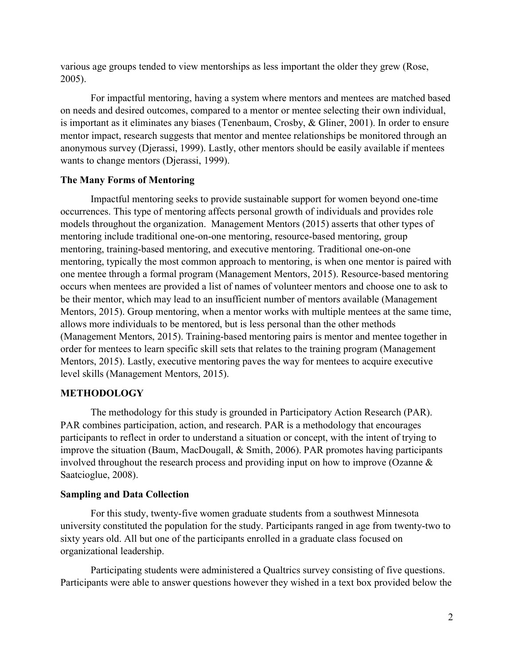various age groups tended to view mentorships as less important the older they grew (Rose, 2005).

For impactful mentoring, having a system where mentors and mentees are matched based on needs and desired outcomes, compared to a mentor or mentee selecting their own individual, is important as it eliminates any biases (Tenenbaum, Crosby, & Gliner, 2001). In order to ensure mentor impact, research suggests that mentor and mentee relationships be monitored through an anonymous survey (Djerassi, 1999). Lastly, other mentors should be easily available if mentees wants to change mentors (Djerassi, 1999).

### The Many Forms of Mentoring

Impactful mentoring seeks to provide sustainable support for women beyond one-time occurrences. This type of mentoring affects personal growth of individuals and provides role models throughout the organization. Management Mentors (2015) asserts that other types of mentoring include traditional one-on-one mentoring, resource-based mentoring, group mentoring, training-based mentoring, and executive mentoring. Traditional one-on-one mentoring, typically the most common approach to mentoring, is when one mentor is paired with one mentee through a formal program (Management Mentors, 2015). Resource-based mentoring occurs when mentees are provided a list of names of volunteer mentors and choose one to ask to be their mentor, which may lead to an insufficient number of mentors available (Management Mentors, 2015). Group mentoring, when a mentor works with multiple mentees at the same time, allows more individuals to be mentored, but is less personal than the other methods (Management Mentors, 2015). Training-based mentoring pairs is mentor and mentee together in order for mentees to learn specific skill sets that relates to the training program (Management Mentors, 2015). Lastly, executive mentoring paves the way for mentees to acquire executive level skills (Management Mentors, 2015).

### METHODOLOGY

The methodology for this study is grounded in Participatory Action Research (PAR). PAR combines participation, action, and research. PAR is a methodology that encourages participants to reflect in order to understand a situation or concept, with the intent of trying to improve the situation (Baum, MacDougall, & Smith, 2006). PAR promotes having participants involved throughout the research process and providing input on how to improve (Ozanne & Saatcioglue, 2008).

### Sampling and Data Collection

 For this study, twenty-five women graduate students from a southwest Minnesota university constituted the population for the study. Participants ranged in age from twenty-two to sixty years old. All but one of the participants enrolled in a graduate class focused on organizational leadership.

Participating students were administered a Qualtrics survey consisting of five questions. Participants were able to answer questions however they wished in a text box provided below the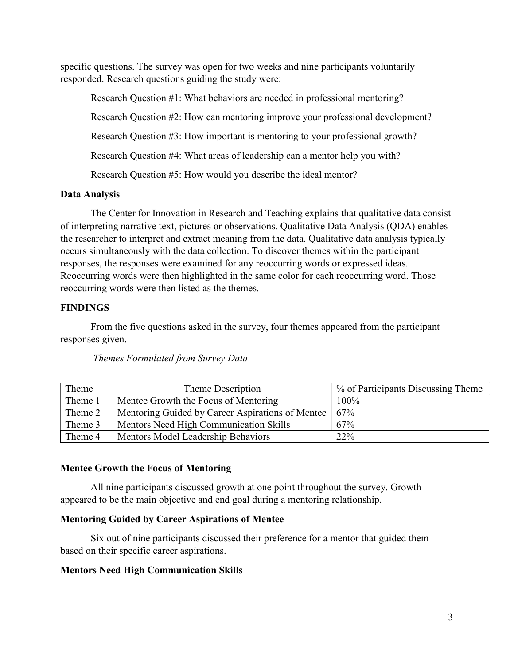specific questions. The survey was open for two weeks and nine participants voluntarily responded. Research questions guiding the study were:

Research Question #1: What behaviors are needed in professional mentoring? Research Question #2: How can mentoring improve your professional development? Research Question #3: How important is mentoring to your professional growth? Research Question #4: What areas of leadership can a mentor help you with? Research Question #5: How would you describe the ideal mentor?

# Data Analysis

The Center for Innovation in Research and Teaching explains that qualitative data consist of interpreting narrative text, pictures or observations. Qualitative Data Analysis (QDA) enables the researcher to interpret and extract meaning from the data. Qualitative data analysis typically occurs simultaneously with the data collection. To discover themes within the participant responses, the responses were examined for any reoccurring words or expressed ideas. Reoccurring words were then highlighted in the same color for each reoccurring word. Those reoccurring words were then listed as the themes.

# FINDINGS

From the five questions asked in the survey, four themes appeared from the participant responses given.

| Theme   | Theme Description                                | % of Participants Discussing Theme |
|---------|--------------------------------------------------|------------------------------------|
| Theme 1 | Mentee Growth the Focus of Mentoring             | 100%                               |
| Theme 2 | Mentoring Guided by Career Aspirations of Mentee | 67%                                |
| Theme 3 | Mentors Need High Communication Skills           | 67%                                |
| Theme 4 | Mentors Model Leadership Behaviors               | 22%                                |

# Themes Formulated from Survey Data

# Mentee Growth the Focus of Mentoring

All nine participants discussed growth at one point throughout the survey. Growth appeared to be the main objective and end goal during a mentoring relationship.

# Mentoring Guided by Career Aspirations of Mentee

 Six out of nine participants discussed their preference for a mentor that guided them based on their specific career aspirations.

# Mentors Need High Communication Skills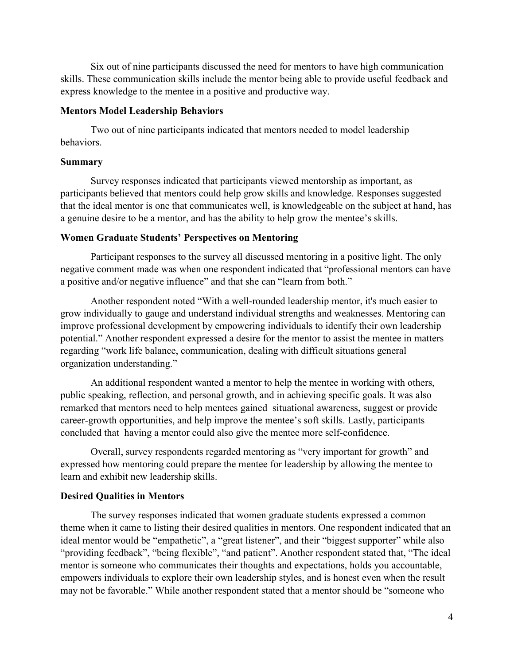Six out of nine participants discussed the need for mentors to have high communication skills. These communication skills include the mentor being able to provide useful feedback and express knowledge to the mentee in a positive and productive way.

### Mentors Model Leadership Behaviors

Two out of nine participants indicated that mentors needed to model leadership behaviors.

### Summary

Survey responses indicated that participants viewed mentorship as important, as participants believed that mentors could help grow skills and knowledge. Responses suggested that the ideal mentor is one that communicates well, is knowledgeable on the subject at hand, has a genuine desire to be a mentor, and has the ability to help grow the mentee's skills.

### Women Graduate Students' Perspectives on Mentoring

Participant responses to the survey all discussed mentoring in a positive light. The only negative comment made was when one respondent indicated that "professional mentors can have a positive and/or negative influence" and that she can "learn from both."

Another respondent noted "With a well-rounded leadership mentor, it's much easier to grow individually to gauge and understand individual strengths and weaknesses. Mentoring can improve professional development by empowering individuals to identify their own leadership potential." Another respondent expressed a desire for the mentor to assist the mentee in matters regarding "work life balance, communication, dealing with difficult situations general organization understanding."

An additional respondent wanted a mentor to help the mentee in working with others, public speaking, reflection, and personal growth, and in achieving specific goals. It was also remarked that mentors need to help mentees gained situational awareness, suggest or provide career-growth opportunities, and help improve the mentee's soft skills. Lastly, participants concluded that having a mentor could also give the mentee more self-confidence.

 Overall, survey respondents regarded mentoring as "very important for growth" and expressed how mentoring could prepare the mentee for leadership by allowing the mentee to learn and exhibit new leadership skills.

### Desired Qualities in Mentors

The survey responses indicated that women graduate students expressed a common theme when it came to listing their desired qualities in mentors. One respondent indicated that an ideal mentor would be "empathetic", a "great listener", and their "biggest supporter" while also "providing feedback", "being flexible", "and patient". Another respondent stated that, "The ideal mentor is someone who communicates their thoughts and expectations, holds you accountable, empowers individuals to explore their own leadership styles, and is honest even when the result may not be favorable." While another respondent stated that a mentor should be "someone who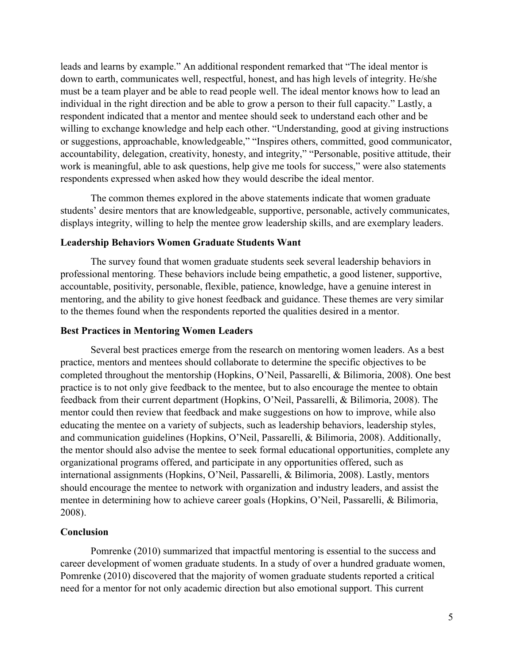leads and learns by example." An additional respondent remarked that "The ideal mentor is down to earth, communicates well, respectful, honest, and has high levels of integrity. He/she must be a team player and be able to read people well. The ideal mentor knows how to lead an individual in the right direction and be able to grow a person to their full capacity." Lastly, a respondent indicated that a mentor and mentee should seek to understand each other and be willing to exchange knowledge and help each other. "Understanding, good at giving instructions or suggestions, approachable, knowledgeable," "Inspires others, committed, good communicator, accountability, delegation, creativity, honesty, and integrity," "Personable, positive attitude, their work is meaningful, able to ask questions, help give me tools for success," were also statements respondents expressed when asked how they would describe the ideal mentor.

 The common themes explored in the above statements indicate that women graduate students' desire mentors that are knowledgeable, supportive, personable, actively communicates, displays integrity, willing to help the mentee grow leadership skills, and are exemplary leaders.

### Leadership Behaviors Women Graduate Students Want

The survey found that women graduate students seek several leadership behaviors in professional mentoring. These behaviors include being empathetic, a good listener, supportive, accountable, positivity, personable, flexible, patience, knowledge, have a genuine interest in mentoring, and the ability to give honest feedback and guidance. These themes are very similar to the themes found when the respondents reported the qualities desired in a mentor.

### Best Practices in Mentoring Women Leaders

Several best practices emerge from the research on mentoring women leaders. As a best practice, mentors and mentees should collaborate to determine the specific objectives to be completed throughout the mentorship (Hopkins, O'Neil, Passarelli, & Bilimoria, 2008). One best practice is to not only give feedback to the mentee, but to also encourage the mentee to obtain feedback from their current department (Hopkins, O'Neil, Passarelli, & Bilimoria, 2008). The mentor could then review that feedback and make suggestions on how to improve, while also educating the mentee on a variety of subjects, such as leadership behaviors, leadership styles, and communication guidelines (Hopkins, O'Neil, Passarelli, & Bilimoria, 2008). Additionally, the mentor should also advise the mentee to seek formal educational opportunities, complete any organizational programs offered, and participate in any opportunities offered, such as international assignments (Hopkins, O'Neil, Passarelli, & Bilimoria, 2008). Lastly, mentors should encourage the mentee to network with organization and industry leaders, and assist the mentee in determining how to achieve career goals (Hopkins, O'Neil, Passarelli, & Bilimoria, 2008).

#### Conclusion

 Pomrenke (2010) summarized that impactful mentoring is essential to the success and career development of women graduate students. In a study of over a hundred graduate women, Pomrenke (2010) discovered that the majority of women graduate students reported a critical need for a mentor for not only academic direction but also emotional support. This current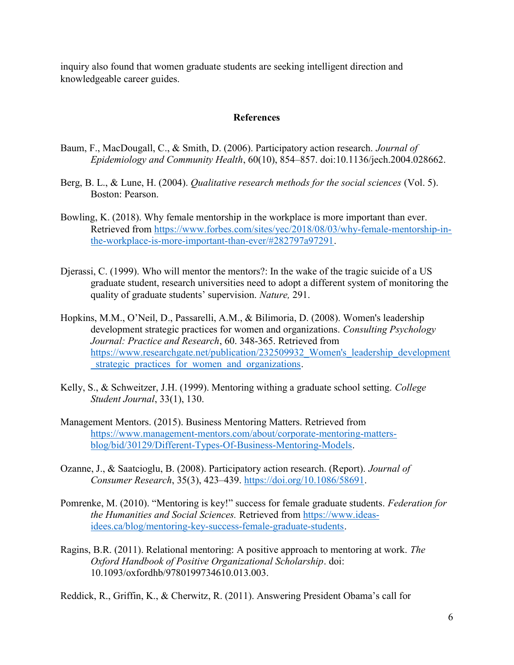inquiry also found that women graduate students are seeking intelligent direction and knowledgeable career guides.

### References

- Baum, F., MacDougall, C., & Smith, D. (2006). Participatory action research. Journal of Epidemiology and Community Health, 60(10), 854–857. doi:10.1136/jech.2004.028662.
- Berg, B. L., & Lune, H. (2004). *Qualitative research methods for the social sciences* (Vol. 5). Boston: Pearson.
- Bowling, K. (2018). Why female mentorship in the workplace is more important than ever. Retrieved from https://www.forbes.com/sites/yec/2018/08/03/why-female-mentorship-inthe-workplace-is-more-important-than-ever/#282797a97291.
- Djerassi, C. (1999). Who will mentor the mentors?: In the wake of the tragic suicide of a US graduate student, research universities need to adopt a different system of monitoring the quality of graduate students' supervision. Nature, 291.
- Hopkins, M.M., O'Neil, D., Passarelli, A.M., & Bilimoria, D. (2008). Women's leadership development strategic practices for women and organizations. Consulting Psychology Journal: Practice and Research, 60. 348-365. Retrieved from https://www.researchgate.net/publication/232509932\_Women's\_leadership\_development \_strategic\_practices\_for\_women\_and\_organizations.
- Kelly, S., & Schweitzer, J.H. (1999). Mentoring withing a graduate school setting. College Student Journal, 33(1), 130.
- Management Mentors. (2015). Business Mentoring Matters. Retrieved from https://www.management-mentors.com/about/corporate-mentoring-mattersblog/bid/30129/Different-Types-Of-Business-Mentoring-Models.
- Ozanne, J., & Saatcioglu, B. (2008). Participatory action research. (Report). Journal of Consumer Research, 35(3), 423–439. https://doi.org/10.1086/58691.
- Pomrenke, M. (2010). "Mentoring is key!" success for female graduate students. Federation for the Humanities and Social Sciences. Retrieved from https://www.ideasidees.ca/blog/mentoring-key-success-female-graduate-students.
- Ragins, B.R. (2011). Relational mentoring: A positive approach to mentoring at work. The Oxford Handbook of Positive Organizational Scholarship. doi: 10.1093/oxfordhb/9780199734610.013.003.

Reddick, R., Griffin, K., & Cherwitz, R. (2011). Answering President Obama's call for